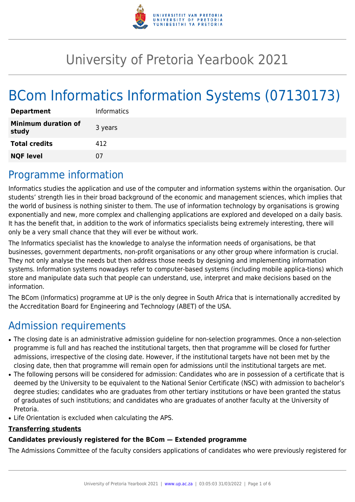

# University of Pretoria Yearbook 2021

# BCom Informatics Information Systems (07130173)

| <b>Department</b>                   |
|-------------------------------------|
| <b>Minimum duration of</b><br>study |
| <b>Total credits</b>                |
| <b>NQF level</b>                    |
|                                     |

# Programme information

Informatics studies the application and use of the computer and information systems within the organisation. Our students' strength lies in their broad background of the economic and management sciences, which implies that the world of business is nothing sinister to them. The use of information technology by organisations is growing exponentially and new, more complex and challenging applications are explored and developed on a daily basis. It has the benefit that, in addition to the work of informatics specialists being extremely interesting, there will only be a very small chance that they will ever be without work.

The Informatics specialist has the knowledge to analyse the information needs of organisations, be that businesses, government departments, non-profit organisations or any other group where information is crucial. They not only analyse the needs but then address those needs by designing and implementing information systems. Information systems nowadays refer to computer-based systems (including mobile applica-tions) which store and manipulate data such that people can understand, use, interpret and make decisions based on the information.

The BCom (Informatics) programme at UP is the only degree in South Africa that is internationally accredited by the Accreditation Board for Engineering and Technology (ABET) of the USA.

# Admission requirements

- The closing date is an administrative admission guideline for non-selection programmes. Once a non-selection programme is full and has reached the institutional targets, then that programme will be closed for further admissions, irrespective of the closing date. However, if the institutional targets have not been met by the closing date, then that programme will remain open for admissions until the institutional targets are met.
- The following persons will be considered for admission: Candidates who are in possession of a certificate that is deemed by the University to be equivalent to the National Senior Certificate (NSC) with admission to bachelor's degree studies; candidates who are graduates from other tertiary institutions or have been granted the status of graduates of such institutions; and candidates who are graduates of another faculty at the University of Pretoria.
- Life Orientation is excluded when calculating the APS.

#### **Transferring students**

### **Candidates previously registered for the BCom — Extended programme**

The Admissions Committee of the faculty considers applications of candidates who were previously registered for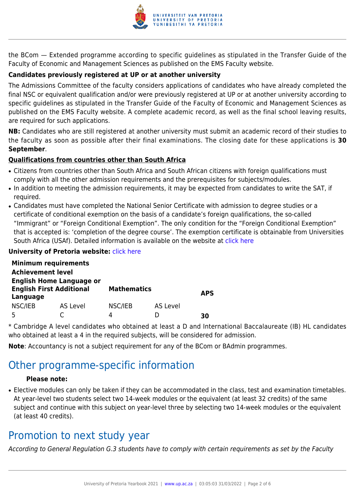

the BCom — Extended programme according to specific guidelines as stipulated in the Transfer Guide of the Faculty of Economic and Management Sciences as published on the EMS Faculty website.

### **Candidates previously registered at UP or at another university**

The Admissions Committee of the faculty considers applications of candidates who have already completed the final NSC or equivalent qualification and/or were previously registered at UP or at another university according to specific guidelines as stipulated in the Transfer Guide of the Faculty of Economic and Management Sciences as published on the EMS Faculty website. A complete academic record, as well as the final school leaving results, are required for such applications.

**NB:** Candidates who are still registered at another university must submit an academic record of their studies to the faculty as soon as possible after their final examinations. The closing date for these applications is **30 September**.

#### **Qualifications from countries other than South Africa**

- Citizens from countries other than South Africa and South African citizens with foreign qualifications must comply with all the other admission requirements and the prerequisites for subjects/modules.
- In addition to meeting the admission requirements, it may be expected from candidates to write the SAT, if required.
- Candidates must have completed the National Senior Certificate with admission to degree studies or a certificate of conditional exemption on the basis of a candidate's foreign qualifications, the so-called "Immigrant" or "Foreign Conditional Exemption". The only condition for the "Foreign Conditional Exemption" that is accepted is: 'completion of the degree course'. The exemption certificate is obtainable from Universities South Africa (USAf). Detailed information is available on the website at [click here](http://mb.usaf.ac.za)

#### **University of Pretoria website: [click here](http://www.up.ac.za/ems)**

|                                                                                | <b>Minimum requirements</b> |                    |          |            |
|--------------------------------------------------------------------------------|-----------------------------|--------------------|----------|------------|
| <b>Achievement level</b>                                                       |                             |                    |          |            |
| <b>English Home Language or</b><br><b>English First Additional</b><br>Language |                             | <b>Mathematics</b> |          | <b>APS</b> |
| NSC/IEB                                                                        | AS Level                    | NSC/IEB            | AS Level |            |
|                                                                                |                             | 4                  |          | RΩ         |

\* Cambridge A level candidates who obtained at least a D and International Baccalaureate (IB) HL candidates who obtained at least a 4 in the required subjects, will be considered for admission.

**Note**: Accountancy is not a subject requirement for any of the BCom or BAdmin programmes.

# Other programme-specific information

#### **Please note:**

• Elective modules can only be taken if they can be accommodated in the class, test and examination timetables. At year-level two students select two 14-week modules or the equivalent (at least 32 credits) of the same subject and continue with this subject on year-level three by selecting two 14-week modules or the equivalent (at least 40 credits).

## Promotion to next study year

According to General Regulation G.3 students have to comply with certain requirements as set by the Faculty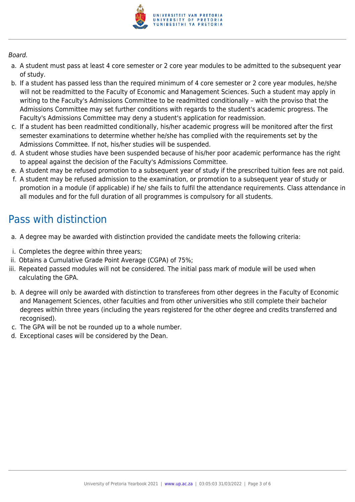

#### Board.

- a. A student must pass at least 4 core semester or 2 core year modules to be admitted to the subsequent year of study.
- b. If a student has passed less than the required minimum of 4 core semester or 2 core year modules, he/she will not be readmitted to the Faculty of Economic and Management Sciences. Such a student may apply in writing to the Faculty's Admissions Committee to be readmitted conditionally – with the proviso that the Admissions Committee may set further conditions with regards to the student's academic progress. The Faculty's Admissions Committee may deny a student's application for readmission.
- c. If a student has been readmitted conditionally, his/her academic progress will be monitored after the first semester examinations to determine whether he/she has complied with the requirements set by the Admissions Committee. If not, his/her studies will be suspended.
- d. A student whose studies have been suspended because of his/her poor academic performance has the right to appeal against the decision of the Faculty's Admissions Committee.
- e. A student may be refused promotion to a subsequent year of study if the prescribed tuition fees are not paid.
- f. A student may be refused admission to the examination, or promotion to a subsequent year of study or promotion in a module (if applicable) if he/ she fails to fulfil the attendance requirements. Class attendance in all modules and for the full duration of all programmes is compulsory for all students.

# Pass with distinction

- a. A degree may be awarded with distinction provided the candidate meets the following criteria:
- i. Completes the degree within three years;
- ii. Obtains a Cumulative Grade Point Average (CGPA) of 75%;
- iii. Repeated passed modules will not be considered. The initial pass mark of module will be used when calculating the GPA.
- b. A degree will only be awarded with distinction to transferees from other degrees in the Faculty of Economic and Management Sciences, other faculties and from other universities who still complete their bachelor degrees within three years (including the years registered for the other degree and credits transferred and recognised).
- c. The GPA will be not be rounded up to a whole number.
- d. Exceptional cases will be considered by the Dean.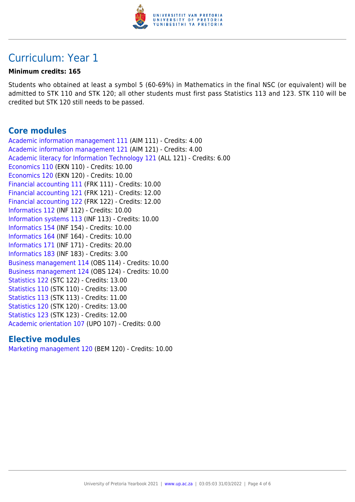

# Curriculum: Year 1

#### **Minimum credits: 165**

Students who obtained at least a symbol 5 (60-69%) in Mathematics in the final NSC (or equivalent) will be admitted to STK 110 and STK 120; all other students must first pass Statistics 113 and 123. STK 110 will be credited but STK 120 still needs to be passed.

### **Core modules**

[Academic information management 111](https://www.up.ac.za/yearbooks/2021/modules/view/AIM 111) (AIM 111) - Credits: 4.00 [Academic information management 121](https://www.up.ac.za/yearbooks/2021/modules/view/AIM 121) (AIM 121) - Credits: 4.00 [Academic literacy for Information Technology 121](https://www.up.ac.za/yearbooks/2021/modules/view/ALL 121) (ALL 121) - Credits: 6.00 [Economics 110](https://www.up.ac.za/yearbooks/2021/modules/view/EKN 110) (EKN 110) - Credits: 10.00 [Economics 120](https://www.up.ac.za/yearbooks/2021/modules/view/EKN 120) (EKN 120) - Credits: 10.00 [Financial accounting 111](https://www.up.ac.za/yearbooks/2021/modules/view/FRK 111) (FRK 111) - Credits: 10.00 [Financial accounting 121](https://www.up.ac.za/yearbooks/2021/modules/view/FRK 121) (FRK 121) - Credits: 12.00 [Financial accounting 122](https://www.up.ac.za/yearbooks/2021/modules/view/FRK 122) (FRK 122) - Credits: 12.00 [Informatics 112](https://www.up.ac.za/yearbooks/2021/modules/view/INF 112) (INF 112) - Credits: 10.00 [Information systems 113](https://www.up.ac.za/yearbooks/2021/modules/view/INF 113) (INF 113) - Credits: 10.00 [Informatics 154](https://www.up.ac.za/yearbooks/2021/modules/view/INF 154) (INF 154) - Credits: 10.00 [Informatics 164](https://www.up.ac.za/yearbooks/2021/modules/view/INF 164) (INF 164) - Credits: 10.00 [Informatics 171](https://www.up.ac.za/yearbooks/2021/modules/view/INF 171) (INF 171) - Credits: 20.00 [Informatics 183](https://www.up.ac.za/yearbooks/2021/modules/view/INF 183) (INF 183) - Credits: 3.00 [Business management 114](https://www.up.ac.za/yearbooks/2021/modules/view/OBS 114) (OBS 114) - Credits: 10.00 [Business management 124](https://www.up.ac.za/yearbooks/2021/modules/view/OBS 124) (OBS 124) - Credits: 10.00 [Statistics 122](https://www.up.ac.za/yearbooks/2021/modules/view/STC 122) (STC 122) - Credits: 13.00 [Statistics 110](https://www.up.ac.za/yearbooks/2021/modules/view/STK 110) (STK 110) - Credits: 13.00 [Statistics 113](https://www.up.ac.za/yearbooks/2021/modules/view/STK 113) (STK 113) - Credits: 11.00 [Statistics 120](https://www.up.ac.za/yearbooks/2021/modules/view/STK 120) (STK 120) - Credits: 13.00 [Statistics 123](https://www.up.ac.za/yearbooks/2021/modules/view/STK 123) (STK 123) - Credits: 12.00 [Academic orientation 107](https://www.up.ac.za/yearbooks/2021/modules/view/UPO 107) (UPO 107) - Credits: 0.00

### **Elective modules**

[Marketing management 120](https://www.up.ac.za/yearbooks/2021/modules/view/BEM 120) (BEM 120) - Credits: 10.00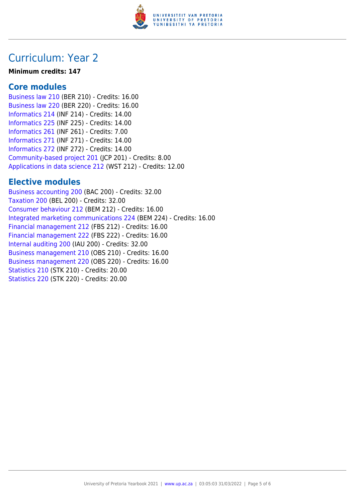

# Curriculum: Year 2

#### **Minimum credits: 147**

### **Core modules**

[Business law 210](https://www.up.ac.za/yearbooks/2021/modules/view/BER 210) (BER 210) - Credits: 16.00 [Business law 220](https://www.up.ac.za/yearbooks/2021/modules/view/BER 220) (BER 220) - Credits: 16.00 [Informatics 214](https://www.up.ac.za/yearbooks/2021/modules/view/INF 214) (INF 214) - Credits: 14.00 [Informatics 225](https://www.up.ac.za/yearbooks/2021/modules/view/INF 225) (INF 225) - Credits: 14.00 [Informatics 261](https://www.up.ac.za/yearbooks/2021/modules/view/INF 261) (INF 261) - Credits: 7.00 [Informatics 271](https://www.up.ac.za/yearbooks/2021/modules/view/INF 271) (INF 271) - Credits: 14.00 [Informatics 272](https://www.up.ac.za/yearbooks/2021/modules/view/INF 272) (INF 272) - Credits: 14.00 [Community-based project 201](https://www.up.ac.za/yearbooks/2021/modules/view/JCP 201) (JCP 201) - Credits: 8.00 [Applications in data science 212](https://www.up.ac.za/yearbooks/2021/modules/view/WST 212) (WST 212) - Credits: 12.00

## **Elective modules**

[Business accounting 200](https://www.up.ac.za/yearbooks/2021/modules/view/BAC 200) (BAC 200) - Credits: 32.00 [Taxation 200](https://www.up.ac.za/yearbooks/2021/modules/view/BEL 200) (BEL 200) - Credits: 32.00 [Consumer behaviour 212](https://www.up.ac.za/yearbooks/2021/modules/view/BEM 212) (BEM 212) - Credits: 16.00 [Integrated marketing communications 224](https://www.up.ac.za/yearbooks/2021/modules/view/BEM 224) (BEM 224) - Credits: 16.00 [Financial management 212](https://www.up.ac.za/yearbooks/2021/modules/view/FBS 212) (FBS 212) - Credits: 16.00 [Financial management 222](https://www.up.ac.za/yearbooks/2021/modules/view/FBS 222) (FBS 222) - Credits: 16.00 [Internal auditing 200](https://www.up.ac.za/yearbooks/2021/modules/view/IAU 200) (IAU 200) - Credits: 32.00 [Business management 210](https://www.up.ac.za/yearbooks/2021/modules/view/OBS 210) (OBS 210) - Credits: 16.00 [Business management 220](https://www.up.ac.za/yearbooks/2021/modules/view/OBS 220) (OBS 220) - Credits: 16.00 [Statistics 210](https://www.up.ac.za/yearbooks/2021/modules/view/STK 210) (STK 210) - Credits: 20.00 [Statistics 220](https://www.up.ac.za/yearbooks/2021/modules/view/STK 220) (STK 220) - Credits: 20.00